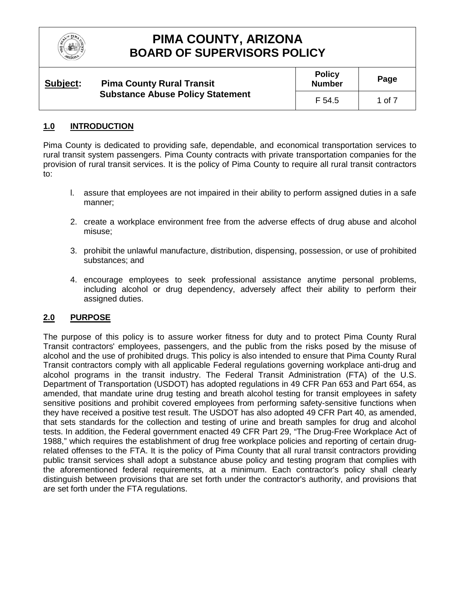

| Subject: | <b>Pima County Rural Transit</b><br><b>Substance Abuse Policy Statement</b> | <b>Policy</b><br><b>Number</b> | Page   |
|----------|-----------------------------------------------------------------------------|--------------------------------|--------|
|          |                                                                             | F 54.5                         | 1 of 7 |

## **1.0 INTRODUCTION**

Pima County is dedicated to providing safe, dependable, and economical transportation services to rural transit system passengers. Pima County contracts with private transportation companies for the provision of rural transit services. It is the policy of Pima County to require all rural transit contractors to:

- l. assure that employees are not impaired in their ability to perform assigned duties in a safe manner;
- 2. create a workplace environment free from the adverse effects of drug abuse and alcohol misuse;
- 3. prohibit the unlawful manufacture, distribution, dispensing, possession, or use of prohibited substances; and
- 4. encourage employees to seek professional assistance anytime personal problems, including alcohol or drug dependency, adversely affect their ability to perform their assigned duties.

## **2.0 PURPOSE**

The purpose of this policy is to assure worker fitness for duty and to protect Pima County Rural Transit contractors' employees, passengers, and the public from the risks posed by the misuse of alcohol and the use of prohibited drugs. This policy is also intended to ensure that Pima County Rural Transit contractors comply with all applicable Federal regulations governing workplace anti-drug and alcohol programs in the transit industry. The Federal Transit Administration (FTA) of the U.S. Department of Transportation (USDOT) has adopted regulations in 49 CFR Pan 653 and Part 654, as amended, that mandate urine drug testing and breath alcohol testing for transit employees in safety sensitive positions and prohibit covered employees from performing safety-sensitive functions when they have received a positive test result. The USDOT has also adopted 49 CFR Part 40, as amended, that sets standards for the collection and testing of urine and breath samples for drug and alcohol tests. In addition, the Federal government enacted 49 CFR Part 29, "The Drug-Free Workplace Act of 1988," which requires the establishment of drug free workplace policies and reporting of certain drugrelated offenses to the FTA. It is the policy of Pima County that all rural transit contractors providing public transit services shall adopt a substance abuse policy and testing program that complies with the aforementioned federal requirements, at a minimum. Each contractor's policy shall clearly distinguish between provisions that are set forth under the contractor's authority, and provisions that are set forth under the FTA regulations.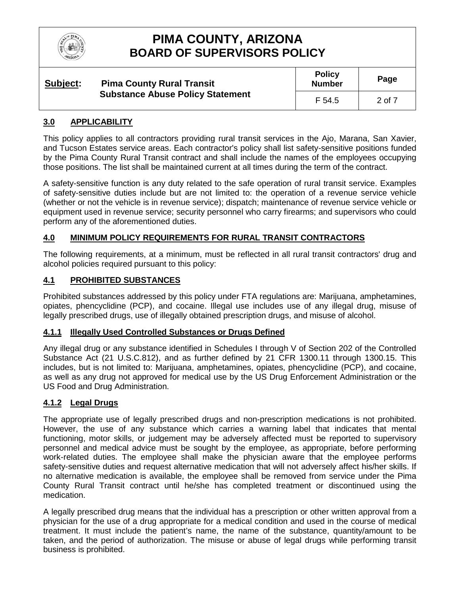

| Subject: | <b>Pima County Rural Transit</b><br><b>Substance Abuse Policy Statement</b> | <b>Policy</b><br><b>Number</b> | Page   |
|----------|-----------------------------------------------------------------------------|--------------------------------|--------|
|          |                                                                             | F 54.5                         | 2 of 7 |

## **3.0 APPLICABILITY**

This policy applies to all contractors providing rural transit services in the Ajo, Marana, San Xavier, and Tucson Estates service areas. Each contractor's policy shall list safety-sensitive positions funded by the Pima County Rural Transit contract and shall include the names of the employees occupying those positions. The list shall be maintained current at all times during the term of the contract.

A safety-sensitive function is any duty related to the safe operation of rural transit service. Examples of safety-sensitive duties include but are not limited to: the operation of a revenue service vehicle (whether or not the vehicle is in revenue service); dispatch; maintenance of revenue service vehicle or equipment used in revenue service; security personnel who carry firearms; and supervisors who could perform any of the aforementioned duties.

## **4.0 MINIMUM POLICY REQUIREMENTS FOR RURAL TRANSIT CONTRACTORS**

The following requirements, at a minimum, must be reflected in all rural transit contractors' drug and alcohol policies required pursuant to this policy:

### **4.1 PROHIBITED SUBSTANCES**

Prohibited substances addressed by this policy under FTA regulations are: Marijuana, amphetamines, opiates, phencyclidine (PCP), and cocaine. Illegal use includes use of any illegal drug, misuse of legally prescribed drugs, use of illegally obtained prescription drugs, and misuse of alcohol.

#### **4.1.1 Illegally Used Controlled Substances or Drugs Defined**

Any illegal drug or any substance identified in Schedules I through V of Section 202 of the Controlled Substance Act (21 U.S.C.812), and as further defined by 21 CFR 1300.11 through 1300.15. This includes, but is not limited to: Marijuana, amphetamines, opiates, phencyclidine (PCP), and cocaine, as well as any drug not approved for medical use by the US Drug Enforcement Administration or the US Food and Drug Administration.

## **4.1.2 Legal Drugs**

The appropriate use of legally prescribed drugs and non-prescription medications is not prohibited. However, the use of any substance which carries a warning label that indicates that mental functioning, motor skills, or judgement may be adversely affected must be reported to supervisory personnel and medical advice must be sought by the employee, as appropriate, before performing work-related duties. The employee shall make the physician aware that the employee performs safety-sensitive duties and request alternative medication that will not adversely affect his/her skills. If no alternative medication is available, the employee shall be removed from service under the Pima County Rural Transit contract until he/she has completed treatment or discontinued using the medication.

A legally prescribed drug means that the individual has a prescription or other written approval from a physician for the use of a drug appropriate for a medical condition and used in the course of medical treatment. It must include the patient's name, the name of the substance, quantity/amount to be taken, and the period of authorization. The misuse or abuse of legal drugs while performing transit business is prohibited.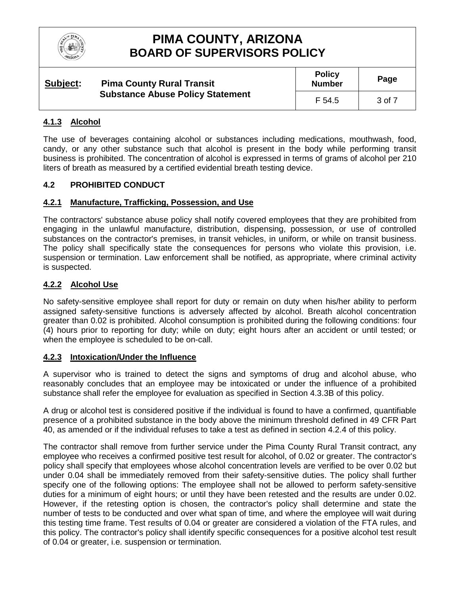

| Subject: | <b>Pima County Rural Transit</b><br><b>Substance Abuse Policy Statement</b> | <b>Policy</b><br><b>Number</b> | Page   |
|----------|-----------------------------------------------------------------------------|--------------------------------|--------|
|          |                                                                             | F 54.5                         | 3 of 7 |

## **4.1.3 Alcohol**

The use of beverages containing alcohol or substances including medications, mouthwash, food, candy, or any other substance such that alcohol is present in the body while performing transit business is prohibited. The concentration of alcohol is expressed in terms of grams of alcohol per 210 liters of breath as measured by a certified evidential breath testing device.

## **4.2 PROHIBITED CONDUCT**

## **4.2.1 Manufacture, Trafficking, Possession, and Use**

The contractors' substance abuse policy shall notify covered employees that they are prohibited from engaging in the unlawful manufacture, distribution, dispensing, possession, or use of controlled substances on the contractor's premises, in transit vehicles, in uniform, or while on transit business. The policy shall specifically state the consequences for persons who violate this provision, i.e. suspension or termination. Law enforcement shall be notified, as appropriate, where criminal activity is suspected.

### **4.2.2 Alcohol Use**

No safety-sensitive employee shall report for duty or remain on duty when his/her ability to perform assigned safety-sensitive functions is adversely affected by alcohol. Breath alcohol concentration greater than 0.02 is prohibited. Alcohol consumption is prohibited during the following conditions: four (4) hours prior to reporting for duty; while on duty; eight hours after an accident or until tested; or when the employee is scheduled to be on-call.

#### **4.2.3 Intoxication/Under the Influence**

A supervisor who is trained to detect the signs and symptoms of drug and alcohol abuse, who reasonably concludes that an employee may be intoxicated or under the influence of a prohibited substance shall refer the employee for evaluation as specified in Section 4.3.3B of this policy.

A drug or alcohol test is considered positive if the individual is found to have a confirmed, quantifiable presence of a prohibited substance in the body above the minimum threshold defined in 49 CFR Part 40, as amended or if the individual refuses to take a test as defined in section 4.2.4 of this policy.

The contractor shall remove from further service under the Pima County Rural Transit contract, any employee who receives a confirmed positive test result for alcohol, of 0.02 or greater. The contractor's policy shall specify that employees whose alcohol concentration levels are verified to be over 0.02 but under 0.04 shall be immediately removed from their safety-sensitive duties. The policy shall further specify one of the following options: The employee shall not be allowed to perform safety-sensitive duties for a minimum of eight hours; or until they have been retested and the results are under 0.02. However, if the retesting option is chosen, the contractor's policy shall determine and state the number of tests to be conducted and over what span of time, and where the employee will wait during this testing time frame. Test results of 0.04 or greater are considered a violation of the FTA rules, and this policy. The contractor's policy shall identify specific consequences for a positive alcohol test result of 0.04 or greater, i.e. suspension or termination.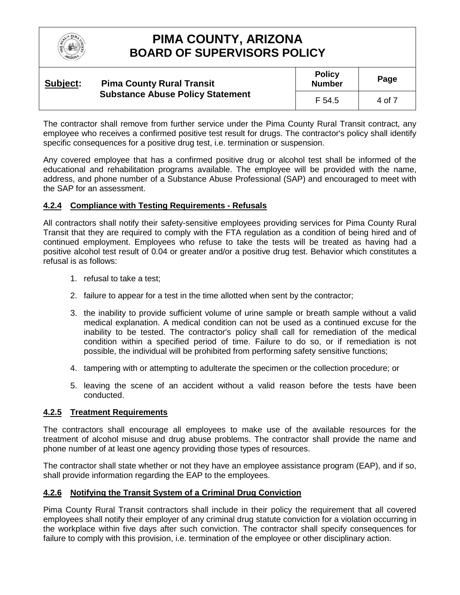

#### **Subject: Pima County Rural Transit Substance Abuse Policy Statement Policy Number Page** F 54.5  $\vert$  4 of 7

The contractor shall remove from further service under the Pima County Rural Transit contract, any employee who receives a confirmed positive test result for drugs. The contractor's policy shall identify specific consequences for a positive drug test, i.e. termination or suspension.

Any covered employee that has a confirmed positive drug or alcohol test shall be informed of the educational and rehabilitation programs available. The employee will be provided with the name, address, and phone number of a Substance Abuse Professional (SAP) and encouraged to meet with the SAP for an assessment.

## **4.2.4 Compliance with Testing Requirements - Refusals**

All contractors shall notify their safety-sensitive employees providing services for Pima County Rural Transit that they are required to comply with the FTA regulation as a condition of being hired and of continued employment. Employees who refuse to take the tests will be treated as having had a positive alcohol test result of 0.04 or greater and/or a positive drug test. Behavior which constitutes a refusal is as follows:

- 1. refusal to take a test;
- 2. failure to appear for a test in the time allotted when sent by the contractor;
- 3. the inability to provide sufficient volume of urine sample or breath sample without a valid medical explanation. A medical condition can not be used as a continued excuse for the inability to be tested. The contractor's policy shall call for remediation of the medical condition within a specified period of time. Failure to do so, or if remediation is not possible, the individual will be prohibited from performing safety sensitive functions;
- 4. tampering with or attempting to adulterate the specimen or the collection procedure; or
- 5. leaving the scene of an accident without a valid reason before the tests have been conducted.

#### **4.2.5 Treatment Requirements**

The contractors shall encourage all employees to make use of the available resources for the treatment of alcohol misuse and drug abuse problems. The contractor shall provide the name and phone number of at least one agency providing those types of resources.

The contractor shall state whether or not they have an employee assistance program (EAP), and if so, shall provide information regarding the EAP to the employees.

## **4.2.6 Notifying the Transit System of a Criminal Drug Conviction**

Pima County Rural Transit contractors shall include in their policy the requirement that all covered employees shall notify their employer of any criminal drug statute conviction for a violation occurring in the workplace within five days after such conviction. The contractor shall specify consequences for failure to comply with this provision, i.e. termination of the employee or other disciplinary action.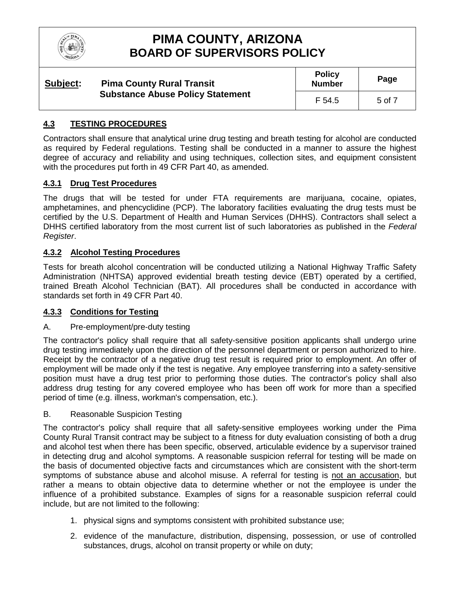

| Subject: | <b>Pima County Rural Transit</b><br><b>Substance Abuse Policy Statement</b> | <b>Policy</b><br><b>Number</b> | Page   |
|----------|-----------------------------------------------------------------------------|--------------------------------|--------|
|          |                                                                             | F 54.5                         | 5 of 7 |

## **4.3 TESTING PROCEDURES**

Contractors shall ensure that analytical urine drug testing and breath testing for alcohol are conducted as required by Federal regulations. Testing shall be conducted in a manner to assure the highest degree of accuracy and reliability and using techniques, collection sites, and equipment consistent with the procedures put forth in 49 CFR Part 40, as amended.

## **4.3.1 Drug Test Procedures**

The drugs that will be tested for under FTA requirements are marijuana, cocaine, opiates, amphetamines, and phencyclidine (PCP). The laboratory facilities evaluating the drug tests must be certified by the U.S. Department of Health and Human Services (DHHS). Contractors shall select a DHHS certified laboratory from the most current list of such laboratories as published in the *Federal Register*.

### **4.3.2 Alcohol Testing Procedures**

Tests for breath alcohol concentration will be conducted utilizing a National Highway Traffic Safety Administration (NHTSA) approved evidential breath testing device (EBT) operated by a certified, trained Breath Alcohol Technician (BAT). All procedures shall be conducted in accordance with standards set forth in 49 CFR Part 40.

## **4.3.3 Conditions for Testing**

#### A. Pre-employment/pre-duty testing

The contractor's policy shall require that all safety-sensitive position applicants shall undergo urine drug testing immediately upon the direction of the personnel department or person authorized to hire. Receipt by the contractor of a negative drug test result is required prior to employment. An offer of employment will be made only if the test is negative. Any employee transferring into a safety-sensitive position must have a drug test prior to performing those duties. The contractor's policy shall also address drug testing for any covered employee who has been off work for more than a specified period of time (e.g. illness, workman's compensation, etc.).

#### B. Reasonable Suspicion Testing

The contractor's policy shall require that all safety-sensitive employees working under the Pima County Rural Transit contract may be subject to a fitness for duty evaluation consisting of both a drug and alcohol test when there has been specific, observed, articulable evidence by a supervisor trained in detecting drug and alcohol symptoms. A reasonable suspicion referral for testing will be made on the basis of documented objective facts and circumstances which are consistent with the short-term symptoms of substance abuse and alcohol misuse. A referral for testing is not an accusation, but rather a means to obtain objective data to determine whether or not the employee is under the influence of a prohibited substance. Examples of signs for a reasonable suspicion referral could include, but are not limited to the following:

- 1. physical signs and symptoms consistent with prohibited substance use;
- 2. evidence of the manufacture, distribution, dispensing, possession, or use of controlled substances, drugs, alcohol on transit property or while on duty;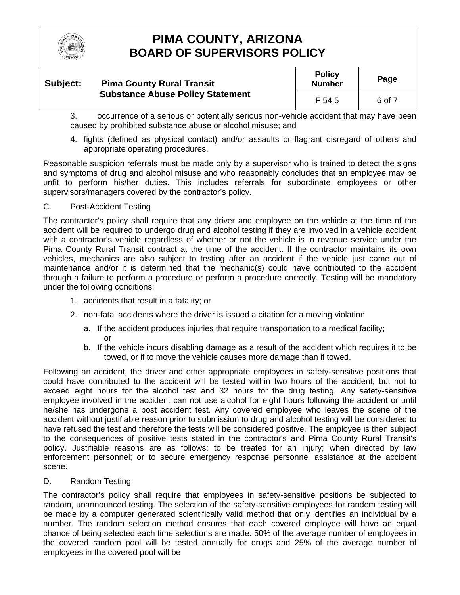

#### **Subject: Pima County Rural Transit Substance Abuse Policy Statement**

**Policy Number Page** F 54.5 6 of 7

3. occurrence of a serious or potentially serious non-vehicle accident that may have been caused by prohibited substance abuse or alcohol misuse; and

4. fights (defined as physical contact) and/or assaults or flagrant disregard of others and appropriate operating procedures.

Reasonable suspicion referrals must be made only by a supervisor who is trained to detect the signs and symptoms of drug and alcohol misuse and who reasonably concludes that an employee may be unfit to perform his/her duties. This includes referrals for subordinate employees or other supervisors/managers covered by the contractor's policy.

## C. Post-Accident Testing

The contractor's policy shall require that any driver and employee on the vehicle at the time of the accident will be required to undergo drug and alcohol testing if they are involved in a vehicle accident with a contractor's vehicle regardless of whether or not the vehicle is in revenue service under the Pima County Rural Transit contract at the time of the accident. If the contractor maintains its own vehicles, mechanics are also subject to testing after an accident if the vehicle just came out of maintenance and/or it is determined that the mechanic(s) could have contributed to the accident through a failure to perform a procedure or perform a procedure correctly. Testing will be mandatory under the following conditions:

- 1. accidents that result in a fatality; or
- 2. non-fatal accidents where the driver is issued a citation for a moving violation
	- a. If the accident produces injuries that require transportation to a medical facility; or
	- b. If the vehicle incurs disabling damage as a result of the accident which requires it to be towed, or if to move the vehicle causes more damage than if towed.

Following an accident, the driver and other appropriate employees in safety-sensitive positions that could have contributed to the accident will be tested within two hours of the accident, but not to exceed eight hours for the alcohol test and 32 hours for the drug testing. Any safety-sensitive employee involved in the accident can not use alcohol for eight hours following the accident or until he/she has undergone a post accident test. Any covered employee who leaves the scene of the accident without justifiable reason prior to submission to drug and alcohol testing will be considered to have refused the test and therefore the tests will be considered positive. The employee is then subject to the consequences of positive tests stated in the contractor's and Pima County Rural Transit's policy. Justifiable reasons are as follows: to be treated for an injury; when directed by law enforcement personnel; or to secure emergency response personnel assistance at the accident scene.

D. Random Testing

The contractor's policy shall require that employees in safety-sensitive positions be subjected to random, unannounced testing. The selection of the safety-sensitive employees for random testing will be made by a computer generated scientifically valid method that only identifies an individual by a number. The random selection method ensures that each covered employee will have an equal chance of being selected each time selections are made. 50% of the average number of employees in the covered random pool will be tested annually for drugs and 25% of the average number of employees in the covered pool will be